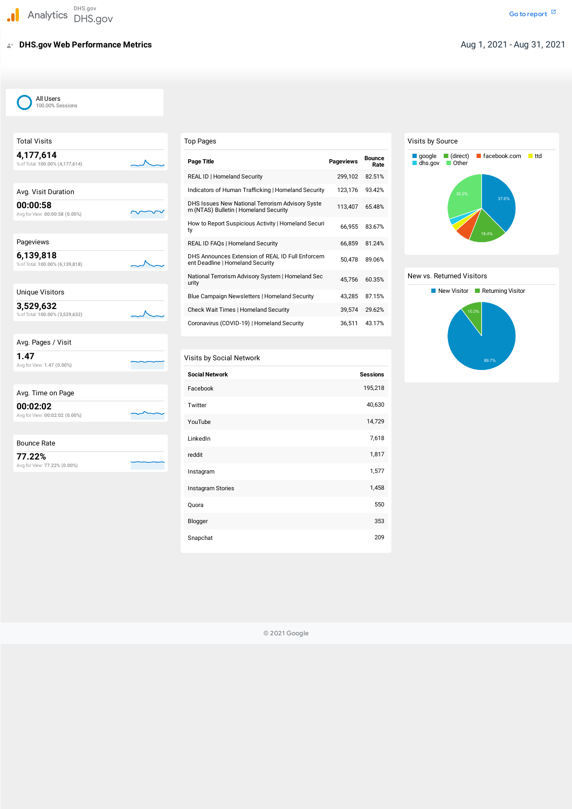# **DHS.gov Web Performance Metrics**

 %ofTotal: **100.00% (4,177,614) 4,177,614**

Avg. Visit Duration

 Avg forView: **00:00:58 (0.00%) 00:00:58**

%ofTotal: **100.00% (6,139,818)**

Total Visits

 %ofTotal: **100.00% (3,529,632) 3,529,632**

 Avg forView: **1.47 (0.00%) 1.47**

 Avg forView: **00:02:02 (0.00%) 00:02:02**

 Avg forView: **77.22% (0.00%) 77.22%**

Pageviews

**6,139,818**

Unique Visitors

| Avg. Time on Page |  |
|-------------------|--|

Bounce Rate

# Visits by Social Network

#### Visits by Source

#### New vs. Returned Visitors

© 2021 Google

| Top Pages                                                                                 |                  |                       |
|-------------------------------------------------------------------------------------------|------------------|-----------------------|
| Page Title                                                                                | <b>Pageviews</b> | <b>Bounce</b><br>Rate |
| <b>REAL ID   Homeland Security</b>                                                        | 299,102          | 82.51%                |
| Indicators of Human Trafficking   Homeland Security                                       | 123,176          | 93.42%                |
| DHS Issues New National Terrorism Advisory Syste<br>m (NTAS) Bulletin   Homeland Security | 113,407          | 65.48%                |
| How to Report Suspicious Activity   Homeland Securi<br>ty                                 | 66,955           | 83.67%                |
| REAL ID FAQs   Homeland Security                                                          | 66.859           | 81.24%                |
| DHS Announces Extension of REAL ID Full Enforcem<br>ent Deadline   Homeland Security      | 50,478           | 89.06%                |
| National Terrorism Advisory System   Homeland Sec<br>urity                                | 45,756           | 60.35%                |
| Blue Campaign Newsletters   Homeland Security                                             | 43,285           | 87.15%                |
| <b>Check Wait Times   Homeland Security</b>                                               | 39,574           | 29.62%                |
| Coronavirus (COVID-19)   Homeland Security                                                | 36,511           | 43.17%                |

| <b>Social Network</b> | <b>Sessions</b> |
|-----------------------|-----------------|
| Facebook              | 195,218         |
| Twitter               | 40,630          |
| YouTube               | 14,729          |
| LinkedIn              | 7,618           |
| reddit                | 1,817           |
| Instagram             | 1,577           |
| Instagram Stories     | 1,458           |
| Quora                 | 550             |
| Blogger               | 353             |
| Snapchat              | 209             |





### All Users 100.00% Sessions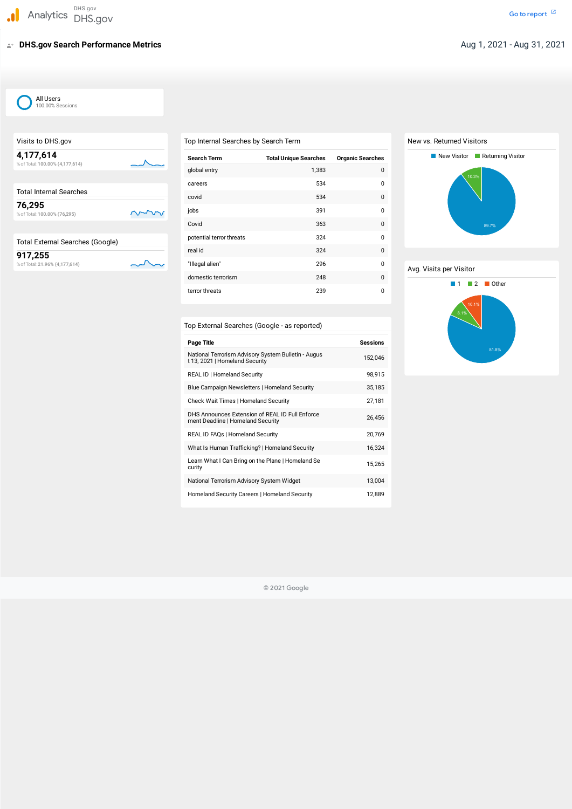# **DHS.gov Search Performance Metrics**

| Visits to DHS.gov                            | Τo  |
|----------------------------------------------|-----|
| 4,177,614<br>% of Total: 100.00% (4,177,614) | Ç   |
| <b>Total Internal Searches</b>               |     |
| 76,295<br>% of Total: 100.00% (76,295)       |     |
|                                              |     |
| <b>Total External Searches (Google)</b>      | ŗ   |
| 917,255                                      | ľ   |
| % of Total: 21.96% (4,177,614)               | II. |

#### Top External Searches (Google - as reported)

| Top Internal Searches by Search Term |  |
|--------------------------------------|--|
|--------------------------------------|--|

| <b>Search Term</b>       | <b>Total Unique Searches</b> | <b>Organic Searches</b> |
|--------------------------|------------------------------|-------------------------|
| global entry             | 1,383                        | 0                       |
| careers                  | 534                          | 0                       |
| covid                    | 534                          | 0                       |
| jobs                     | 391                          | 0                       |
| Covid                    | 363                          | 0                       |
| potential terror threats | 324                          | 0                       |
| real id                  | 324                          | $\Omega$                |
| "Illegal alien"          | 296                          | 0                       |
| domestic terrorism       | 248                          | 0                       |
| terror threats           | 239                          | 0                       |

# New vs. Returned Visitors



© 2021 Google

| <b>Page Title</b>                                                                     | <b>Sessions</b> |
|---------------------------------------------------------------------------------------|-----------------|
| National Terrorism Advisory System Bulletin - Augus<br>t 13, 2021   Homeland Security | 152,046         |
| REAL ID   Homeland Security                                                           | 98,915          |
| Blue Campaign Newsletters   Homeland Security                                         | 35,185          |
| Check Wait Times   Homeland Security                                                  | 27,181          |
| DHS Announces Extension of REAL ID Full Enforce<br>ment Deadline   Homeland Security  | 26,456          |
| REAL ID FAQs   Homeland Security                                                      | 20,769          |
| What Is Human Trafficking?   Homeland Security                                        | 16,324          |
| Learn What I Can Bring on the Plane   Homeland Se<br>curity                           | 15,265          |
| National Terrorism Advisory System Widget                                             | 13,004          |
| Homeland Security Careers   Homeland Security                                         | 12,889          |





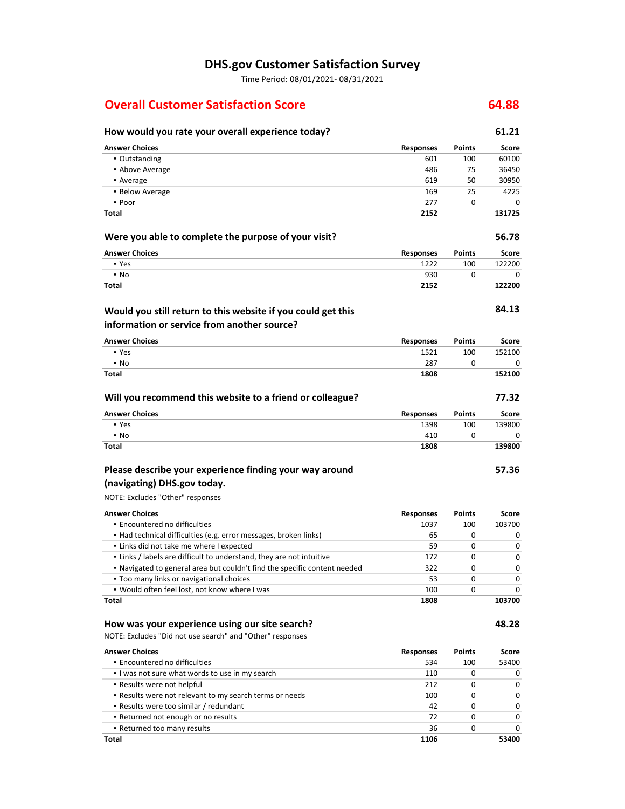### **DHS.gov Customer Satisfaction Survey**

Time Period: 08/01/2021‐ 08/31/2021

### **Overall Customer Satisfaction Score 64.88**

▪ Returned too many results

**Total**

# **How would you rate your overall experience today? 61.21**

| <b>Answer Choices</b>                                                                                       | <b>Responses</b> | Points        | Score        |
|-------------------------------------------------------------------------------------------------------------|------------------|---------------|--------------|
| • Outstanding                                                                                               | 601              | 100           | 60100        |
| • Above Average                                                                                             | 486              | 75            | 36450        |
| • Average                                                                                                   | 619              | 50            | 30950        |
| • Below Average                                                                                             | 169              | 25            | 4225         |
| • Poor                                                                                                      | 277              | 0             | $\Omega$     |
| Total                                                                                                       | 2152             |               | 131725       |
| Were you able to complete the purpose of your visit?                                                        |                  |               | 56.78        |
| <b>Answer Choices</b>                                                                                       | <b>Responses</b> | <b>Points</b> | <b>Score</b> |
| • Yes                                                                                                       | 1222             | 100           | 122200       |
| • No                                                                                                        | 930              | 0             | 0            |
| Total                                                                                                       | 2152             |               | 122200       |
| Would you still return to this website if you could get this<br>information or service from another source? |                  |               | 84.13        |
| <b>Answer Choices</b>                                                                                       | <b>Responses</b> | Points        | Score        |
| • Yes                                                                                                       | 1521             | 100           | 152100       |
| • No                                                                                                        | 287              | 0             | 0            |
| Total                                                                                                       | 1808             |               | 152100       |
| Will you recommend this website to a friend or colleague?                                                   |                  |               | 77.32        |
| <b>Answer Choices</b>                                                                                       | <b>Responses</b> | Points        | <b>Score</b> |
| • Yes                                                                                                       | 1398             | 100           | 139800       |
| • No                                                                                                        | 410              | 0             | 0            |
| Total                                                                                                       | 1808             |               | 139800       |
| Please describe your experience finding your way around                                                     |                  |               | 57.36        |
| (navigating) DHS.gov today.                                                                                 |                  |               |              |
| NOTE: Excludes "Other" responses                                                                            |                  |               |              |
| <b>Answer Choices</b>                                                                                       | <b>Responses</b> | Points        | <b>Score</b> |
| · Encountered no difficulties                                                                               | 1037             | 100           | 103700       |
| • Had technical difficulties (e.g. error messages, broken links)                                            | 65               | 0             | 0            |
| · Links did not take me where I expected                                                                    | 59               | 0             | 0            |
| . Links / labels are difficult to understand, they are not intuitive                                        | 172              | 0             | 0            |
| . Navigated to general area but couldn't find the specific content needed                                   | 322              | 0             | 0            |
| • Too many links or navigational choices                                                                    | 53               | 0             | 0            |
| . Would often feel lost, not know where I was                                                               | 100              | 0             | 0            |
| Total                                                                                                       | 1808             |               | 103700       |
| How was your experience using our site search?                                                              |                  |               | 48.28        |
| NOTE: Excludes "Did not use search" and "Other" responses                                                   |                  |               |              |
| <b>Answer Choices</b>                                                                                       | <b>Responses</b> | Points        | Score        |
| · Encountered no difficulties                                                                               | 534              | 100           | 53400        |
| . I was not sure what words to use in my search                                                             | 110              | 0             | 0            |
| . Results were not helpful                                                                                  | 212              | 0             | 0            |
| . Results were not relevant to my search terms or needs                                                     | 100              | 0             | 0            |
| - Results were too similar / redundant                                                                      | 42               | 0             | 0            |
| · Returned not enough or no results                                                                         | 72               | 0             | 0            |

36 **1106** 0

0 **53400**